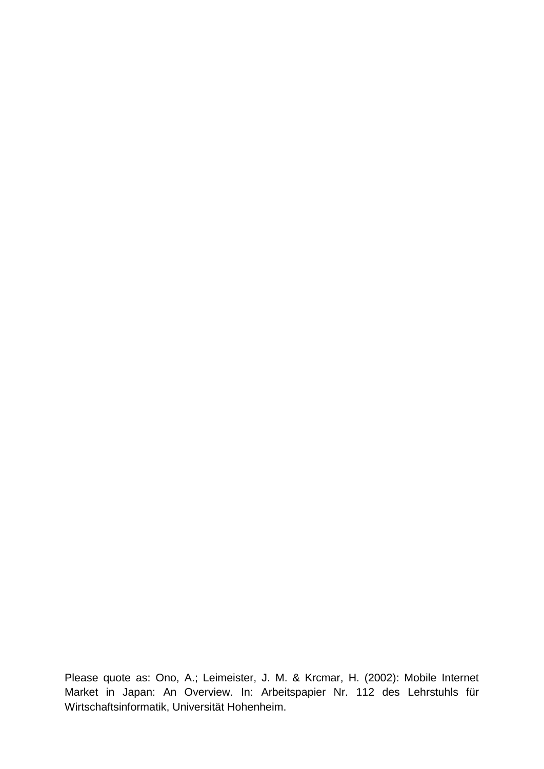Please quote as: Ono, A.; Leimeister, J. M. & Krcmar, H. (2002): Mobile Internet Market in Japan: An Overview. In: Arbeitspapier Nr. 112 des Lehrstuhls für Wirtschaftsinformatik, Universität Hohenheim.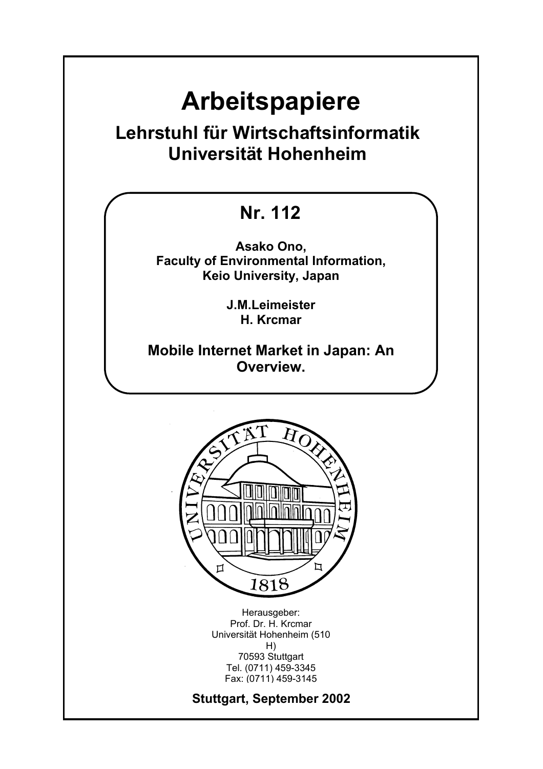# **Arbeitspapiere**

## **Lehrstuhl für Wirtschaftsinformatik Universität Hohenheim**

## **Nr. 112**

**Asako Ono, Faculty of Environmental Information, Keio University, Japan** 

> **J.M.Leimeister H. Krcmar**

**Mobile Internet Market in Japan: An Overview.** 



Herausgeber: Prof. Dr. H. Krcmar Universität Hohenheim (510 H) 70593 Stuttgart Tel. (0711) 459-3345 Fax: (0711) 459-3145

**Stuttgart, September 2002**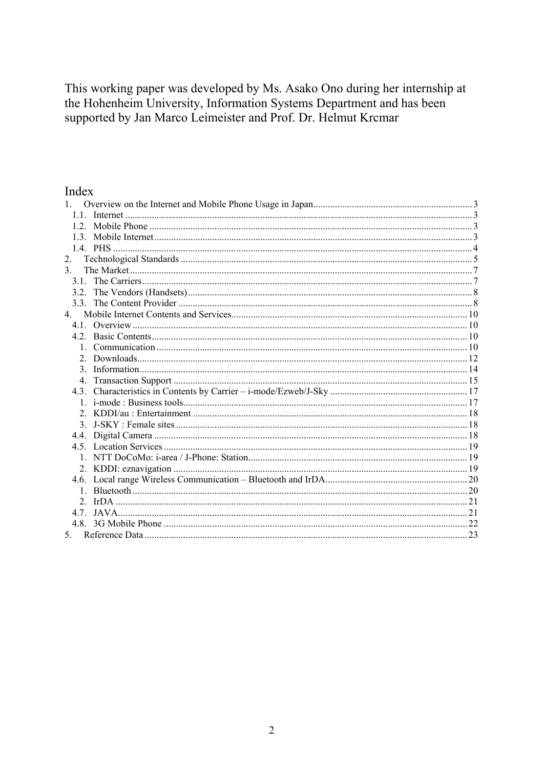This working paper was developed by Ms. Asako Ono during her internship at the Hohenheim University, Information Systems Department and has been supported by Jan Marco Leimeister and Prof. Dr. Helmut Krcmar

### Index

| 11             |  |
|----------------|--|
|                |  |
|                |  |
|                |  |
| 2.             |  |
| $\mathcal{E}$  |  |
|                |  |
|                |  |
|                |  |
| $\overline{4}$ |  |
|                |  |
|                |  |
|                |  |
|                |  |
| $\mathcal{E}$  |  |
|                |  |
|                |  |
|                |  |
|                |  |
| $\mathcal{E}$  |  |
|                |  |
|                |  |
|                |  |
|                |  |
|                |  |
|                |  |
| 2.             |  |
|                |  |
|                |  |
| 5.             |  |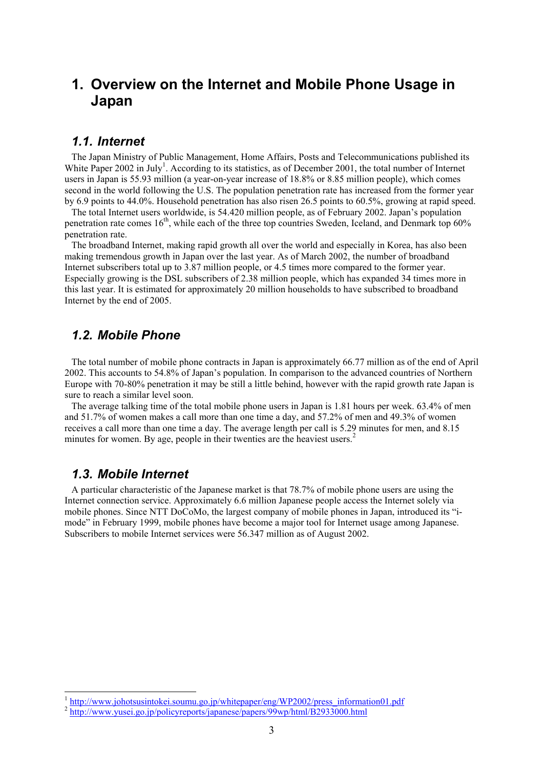### **1. Overview on the Internet and Mobile Phone Usage in Japan**

### *1.1. Internet*

The Japan Ministry of Public Management, Home Affairs, Posts and Telecommunications published its White Paper 2002 in July<sup>1</sup>. According to its statistics, as of December 2001, the total number of Internet users in Japan is 55.93 million (a year-on-year increase of 18.8% or 8.85 million people), which comes second in the world following the U.S. The population penetration rate has increased from the former year by 6.9 points to 44.0%. Household penetration has also risen 26.5 points to 60.5%, growing at rapid speed.

The total Internet users worldwide, is 54.420 million people, as of February 2002. Japan's population penetration rate comes  $16<sup>th</sup>$ , while each of the three top countries Sweden, Iceland, and Denmark top 60% penetration rate.

The broadband Internet, making rapid growth all over the world and especially in Korea, has also been making tremendous growth in Japan over the last year. As of March 2002, the number of broadband Internet subscribers total up to 3.87 million people, or 4.5 times more compared to the former year. Especially growing is the DSL subscribers of 2.38 million people, which has expanded 34 times more in this last year. It is estimated for approximately 20 million households to have subscribed to broadband Internet by the end of 2005.

### *1.2. Mobile Phone*

The total number of mobile phone contracts in Japan is approximately 66.77 million as of the end of April 2002. This accounts to 54.8% of Japan's population. In comparison to the advanced countries of Northern Europe with 70-80% penetration it may be still a little behind, however with the rapid growth rate Japan is sure to reach a similar level soon.

The average talking time of the total mobile phone users in Japan is 1.81 hours per week. 63.4% of men and 51.7% of women makes a call more than one time a day, and 57.2% of men and 49.3% of women receives a call more than one time a day. The average length per call is 5.29 minutes for men, and 8.15 minutes for women. By age, people in their twenties are the heaviest users.<sup>2</sup>

### *1.3. Mobile Internet*

1

A particular characteristic of the Japanese market is that 78.7% of mobile phone users are using the Internet connection service. Approximately 6.6 million Japanese people access the Internet solely via mobile phones. Since NTT DoCoMo, the largest company of mobile phones in Japan, introduced its "imode" in February 1999, mobile phones have become a major tool for Internet usage among Japanese. Subscribers to mobile Internet services were 56.347 million as of August 2002.

<sup>&</sup>lt;sup>1</sup> http://www.johotsusintokei.soumu.go.jp/whitepaper/eng/WP2002/press\_information01.pdf <sup>2</sup> http://www.yusei.go.jp/policyreports/japanese/papers/99wp/html/B2933000.html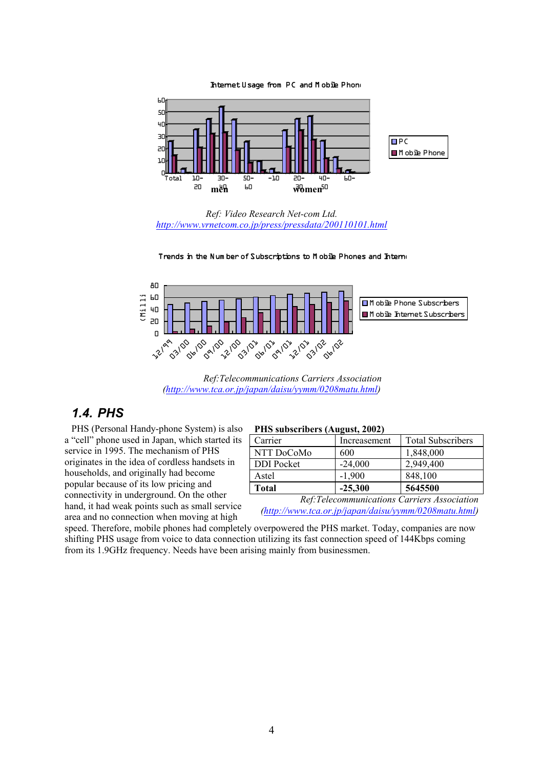Internet Usage from PC and M obile Phone



*Ref: Video Research Net-com Ltd. http://www.vrnetcom.co.jp/press/pressdata/200110101.html*





*Ref:Telecommunications Carriers Association (http://www.tca.or.jp/japan/daisu/yymm/0208matu.html)* 

### *1.4. PHS*

PHS (Personal Handy-phone System) is also a "cell" phone used in Japan, which started its service in 1995. The mechanism of PHS originates in the idea of cordless handsets in households, and originally had become popular because of its low pricing and connectivity in underground. On the other hand, it had weak points such as small service area and no connection when moving at high

#### **PHS subscribers (August, 2002)**

| Carrier           | Increasement | <b>Total Subscribers</b> |  |  |  |
|-------------------|--------------|--------------------------|--|--|--|
| NTT DoCoMo        | 600          | 1,848,000                |  |  |  |
| <b>DDI</b> Pocket | $-24,000$    | 2,949,400                |  |  |  |
| Astel             | $-1,900$     | 848,100                  |  |  |  |
| <b>Total</b>      | $-25,300$    | 5645500                  |  |  |  |

*Ref:Telecommunications Carriers Association (http://www.tca.or.jp/japan/daisu/yymm/0208matu.html)*

speed. Therefore, mobile phones had completely overpowered the PHS market. Today, companies are now shifting PHS usage from voice to data connection utilizing its fast connection speed of 144Kbps coming from its 1.9GHz frequency. Needs have been arising mainly from businessmen.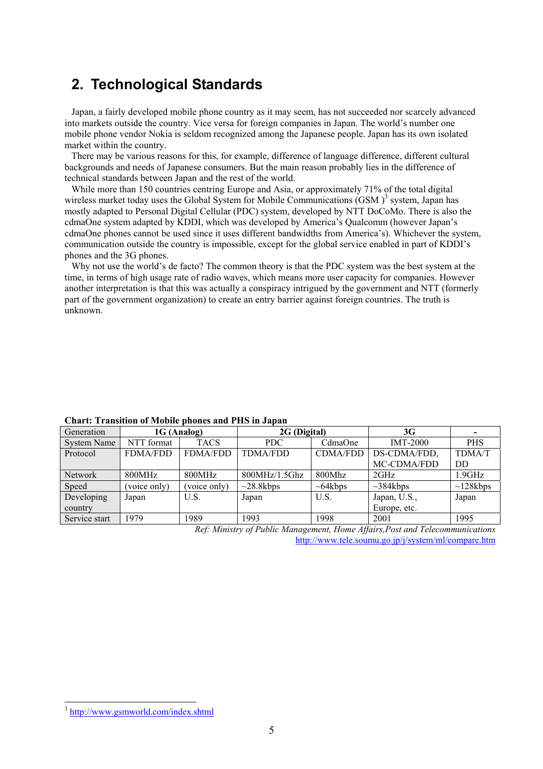### **2. Technological Standards**

Japan, a fairly developed mobile phone country as it may seem, has not succeeded nor scarcely advanced into markets outside the country. Vice versa for foreign companies in Japan. The world's number one mobile phone vendor Nokia is seldom recognized among the Japanese people. Japan has its own isolated market within the country.

There may be various reasons for this, for example, difference of language difference, different cultural backgrounds and needs of Japanese consumers. But the main reason probably lies in the difference of technical standards between Japan and the rest of the world.

While more than 150 countries centring Europe and Asia, or approximately 71% of the total digital wireless market today uses the Global System for Mobile Communications  $(GSM)^3$  system, Japan has mostly adapted to Personal Digital Cellular (PDC) system, developed by NTT DoCoMo. There is also the cdmaOne system adapted by KDDI, which was developed by America's Qualcomm (however Japan's cdmaOne phones cannot be used since it uses different bandwidths from America's). Whichever the system, communication outside the country is impossible, except for the global service enabled in part of KDDI's phones and the 3G phones.

Why not use the world's de facto? The common theory is that the PDC system was the best system at the time, in terms of high usage rate of radio waves, which means more user capacity for companies. However another interpretation is that this was actually a conspiracy intrigued by the government and NTT (formerly part of the government organization) to create an entry barrier against foreign countries. The truth is unknown.

| Chart. Transition of Mobile phones and FIIS in Japan |                 |                 |                 |                 |                 |                |  |  |
|------------------------------------------------------|-----------------|-----------------|-----------------|-----------------|-----------------|----------------|--|--|
| Generation                                           | 1G (Analog)     |                 | 2G (Digital)    |                 | 3G              |                |  |  |
| <b>System Name</b>                                   | NTT format      | <b>TACS</b>     | PDC             | CdmaOne         | <b>IMT-2000</b> | <b>PHS</b>     |  |  |
| Protocol                                             | <b>FDMA/FDD</b> | <b>FDMA/FDD</b> | <b>TDMA/FDD</b> | <b>CDMA/FDD</b> | DS-CDMA/FDD,    | <b>TDMA/T</b>  |  |  |
|                                                      |                 |                 |                 |                 | MC-CDMA/FDD     | DD             |  |  |
| <b>Network</b>                                       | 800MHz          | 800MHz          | 800MHz/1.5Ghz   | 800Mhz          | 2GHz            | 1.9GHz         |  |  |
| Speed                                                | (voice only)    | (voice only)    | $\sim$ 28.8kbps | $\sim 64$ kbps  | $\sim$ 384kbps  | $\sim$ 128kbps |  |  |
| Developing                                           | Japan           | U.S.            | Japan           | U.S.            | Japan, U.S.,    | Japan          |  |  |
| country                                              |                 |                 |                 |                 | Europe, etc.    |                |  |  |
| Service start                                        | 1979            | 1989            | 1993            | 1998            | 2001            | 1995           |  |  |

### **Chart: Transition of Mobile phones and PHS in Japan**

*Ref: Ministry of Public Management, Home Affairs,Post and Telecommunications*  http://www.tele.soumu.go.jp/j/system/ml/compare.htm

<sup>3</sup> http://www.gsmworld.com/index.shtml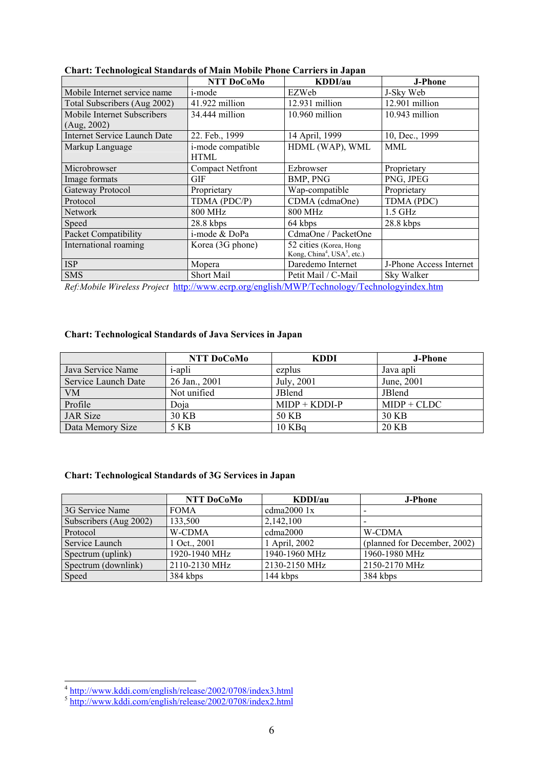| Спать тесниолодкагованчагаз от мангтиолистионе саттитутн баран | NTT DoCoMo              | KDDI/au                                             | <b>J-Phone</b>          |
|----------------------------------------------------------------|-------------------------|-----------------------------------------------------|-------------------------|
| Mobile Internet service name                                   | i-mode                  | EZWeb                                               | J-Sky Web               |
| Total Subscribers (Aug 2002)                                   | 41.922 million          | 12.931 million                                      | 12.901 million          |
| Mobile Internet Subscribers                                    | 34.444 million          | 10.960 million                                      | 10.943 million          |
| (Aug, 2002)                                                    |                         |                                                     |                         |
| <b>Internet Service Launch Date</b>                            | 22. Feb., 1999          | 14 April, 1999                                      | 10, Dec., 1999          |
| Markup Language                                                | i-mode compatible       | HDML (WAP), WML                                     | MML                     |
|                                                                | <b>HTML</b>             |                                                     |                         |
| Microbrowser                                                   | <b>Compact Netfront</b> | Ezbrowser                                           | Proprietary             |
| Image formats                                                  | GIF                     | BMP, PNG                                            | PNG, JPEG               |
| Gateway Protocol                                               | Proprietary             | Wap-compatible                                      | Proprietary             |
| Protocol                                                       | TDMA (PDC/P)            | CDMA (cdmaOne)                                      | TDMA (PDC)              |
| <b>Network</b>                                                 | <b>800 MHz</b>          | <b>800 MHz</b>                                      | $1.5$ GHz               |
| Speed                                                          | $28.8$ kbps             | 64 kbps                                             | $28.8$ kbps             |
| Packet Compatibility                                           | i-mode & DoPa           | CdmaOne / PacketOne                                 |                         |
| International roaming                                          | Korea (3G phone)        | 52 cities (Korea, Hong                              |                         |
|                                                                |                         | Kong, China <sup>4</sup> , USA <sup>5</sup> , etc.) |                         |
| <b>ISP</b>                                                     | Mopera                  | Daredemo Internet                                   | J-Phone Access Internet |
| <b>SMS</b>                                                     | Short Mail              | Petit Mail / C-Mail                                 | Sky Walker              |

**Chart: Technological Standards of Main Mobile Phone Carriers in Japan** 

*Ref:Mobile Wireless Project* http://www.ecrp.org/english/MWP/Technology/Technologyindex.htm

#### **Chart: Technological Standards of Java Services in Japan**

|                     | NTT DoCoMo     | <b>KDDI</b>     | <b>J-Phone</b> |
|---------------------|----------------|-----------------|----------------|
| Java Service Name   | <i>i</i> -apli | ezplus          | Java apli      |
| Service Launch Date | 26 Jan., 2001  | July, 2001      | June, 2001     |
| <b>VM</b>           | Not unified    | <b>JBlend</b>   | <b>JBlend</b>  |
| Profile             | Doia           | $MIDP + KDDI-P$ | $MIDP + CLDC$  |
| <b>JAR</b> Size     | 30 KB          | 50 KB           | 30 KB          |
| Data Memory Size    | 5 KB           | 10 KBq          | 20 KB          |

### **Chart: Technological Standards of 3G Services in Japan**

|                        | NTT DoCoMo    | KDDI/au       | <b>J-Phone</b>               |
|------------------------|---------------|---------------|------------------------------|
| 3G Service Name        | <b>FOMA</b>   | cdma $20001x$ |                              |
| Subscribers (Aug 2002) | 133,500       | 2,142,100     |                              |
| Protocol               | W-CDMA        | cdma2000      | W-CDMA                       |
| Service Launch         | 1 Oct., 2001  | 1 April, 2002 | (planned for December, 2002) |
| Spectrum (uplink)      | 1920-1940 MHz | 1940-1960 MHz | 1960-1980 MHz                |
| Spectrum (downlink)    | 2110-2130 MHz | 2130-2150 MHz | 2150-2170 MHz                |
| Speed                  | 384 kbps      | 144 kbps      | 384 kbps                     |

-

<sup>&</sup>lt;sup>4</sup> http://www.kddi.com/english/release/2002/0708/index3.html

<sup>&</sup>lt;sup>5</sup> http://www.kddi.com/english/release/2002/0708/index2.html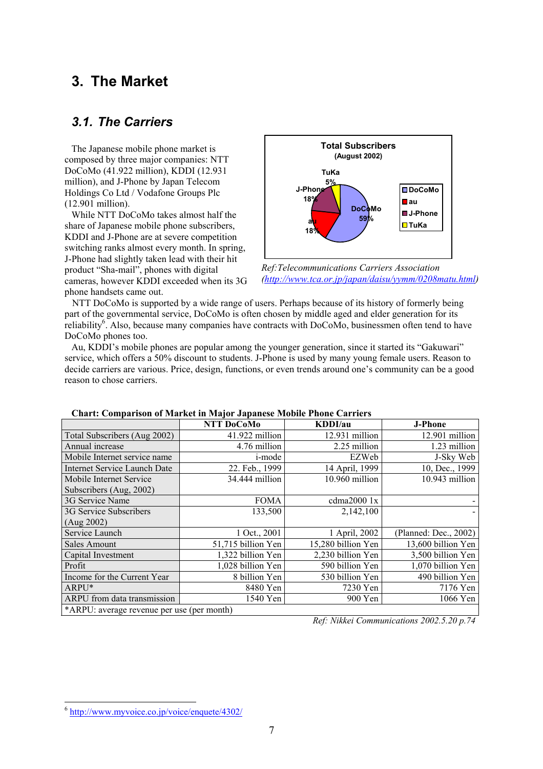### **3. The Market**

### *3.1. The Carriers*

The Japanese mobile phone market is composed by three major companies: NTT DoCoMo (41.922 million), KDDI (12.931 million), and J-Phone by Japan Telecom Holdings Co Ltd / Vodafone Groups Plc (12.901 million).

While NTT DoCoMo takes almost half the share of Japanese mobile phone subscribers, KDDI and J-Phone are at severe competition switching ranks almost every month. In spring, J-Phone had slightly taken lead with their hit product "Sha-mail", phones with digital cameras, however KDDI exceeded when its 3G phone handsets came out.



*Ref:Telecommunications Carriers Association (http://www.tca.or.jp/japan/daisu/yymm/0208matu.html)*

NTT DoCoMo is supported by a wide range of users. Perhaps because of its history of formerly being part of the governmental service, DoCoMo is often chosen by middle aged and elder generation for its reliability<sup>6</sup>. Also, because many companies have contracts with DoCoMo, businessmen often tend to have DoCoMo phones too.

Au, KDDI's mobile phones are popular among the younger generation, since it started its "Gakuwari" service, which offers a 50% discount to students. J-Phone is used by many young female users. Reason to decide carriers are various. Price, design, functions, or even trends around one's community can be a good reason to chose carriers.

|                                            | NTT DoCoMo         | KDDI/au            | <b>J-Phone</b>        |  |
|--------------------------------------------|--------------------|--------------------|-----------------------|--|
| Total Subscribers (Aug 2002)               | 41.922 million     | 12.931 million     | 12.901 million        |  |
| Annual increase                            | 4.76 million       | 2.25 million       | 1.23 million          |  |
| Mobile Internet service name               | <i>i</i> -mode     | EZWeb              | J-Sky Web             |  |
| <b>Internet Service Launch Date</b>        | 22. Feb., 1999     | 14 April, 1999     | 10, Dec., 1999        |  |
| Mobile Internet Service                    | 34.444 million     | 10.960 million     | 10.943 million        |  |
| Subscribers (Aug, 2002)                    |                    |                    |                       |  |
| 3G Service Name                            | <b>FOMA</b>        | cdma2000 1x        |                       |  |
| 3G Service Subscribers                     | 133,500            | 2,142,100          |                       |  |
| (Aug 2002)                                 |                    |                    |                       |  |
| Service Launch                             | 1 Oct., 2001       | 1 April, 2002      | (Planned: Dec., 2002) |  |
| Sales Amount                               | 51,715 billion Yen | 15,280 billion Yen | 13,600 billion Yen    |  |
| Capital Investment                         | 1,322 billion Yen  | 2,230 billion Yen  | 3,500 billion Yen     |  |
| Profit                                     | 1,028 billion Yen  | 590 billion Yen    | 1,070 billion Yen     |  |
| Income for the Current Year                | 8 billion Yen      | 530 billion Yen    | 490 billion Yen       |  |
| ARPU*                                      | 8480 Yen           | 7230 Yen           | 7176 Yen              |  |
| ARPU from data transmission                | 1540 Yen           | 900 Yen            | 1066 Yen              |  |
| *ARPU: average revenue per use (per month) |                    |                    |                       |  |

#### **Chart: Comparison of Market in Major Japanese Mobile Phone Carriers**

*Ref: Nikkei Communications 2002.5.20 p.74*

<sup>6</sup> http://www.myvoice.co.jp/voice/enquete/4302/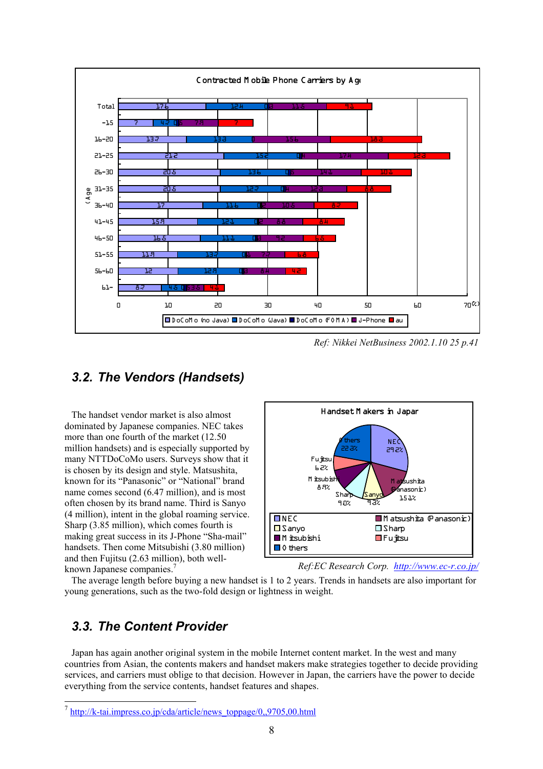

*Ref: Nikkei NetBusiness 2002.1.10 25 p.41* 

### *3.2. The Vendors (Handsets)*

The handset vendor market is also almost dominated by Japanese companies. NEC takes more than one fourth of the market (12.50 million handsets) and is especially supported by many NTTDoCoMo users. Surveys show that it is chosen by its design and style. Matsushita, known for its "Panasonic" or "National" brand name comes second (6.47 million), and is most often chosen by its brand name. Third is Sanyo (4 million), intent in the global roaming service. Sharp (3.85 million), which comes fourth is making great success in its J-Phone "Sha-mail" handsets. Then come Mitsubishi (3.80 million) and then Fujitsu (2.63 million), both wellknown Japanese companies.<sup>7</sup>



*Ref:EC Research Corp. http://www.ec-r.co.jp/*

The average length before buying a new handset is 1 to 2 years. Trends in handsets are also important for young generations, such as the two-fold design or lightness in weight.

### *3.3. The Content Provider*

1

Japan has again another original system in the mobile Internet content market. In the west and many countries from Asian, the contents makers and handset makers make strategies together to decide providing services, and carriers must oblige to that decision. However in Japan, the carriers have the power to decide everything from the service contents, handset features and shapes.

<sup>&</sup>lt;sup>7</sup> http://k-tai.impress.co.jp/cda/article/news\_toppage/0,,9705,00.html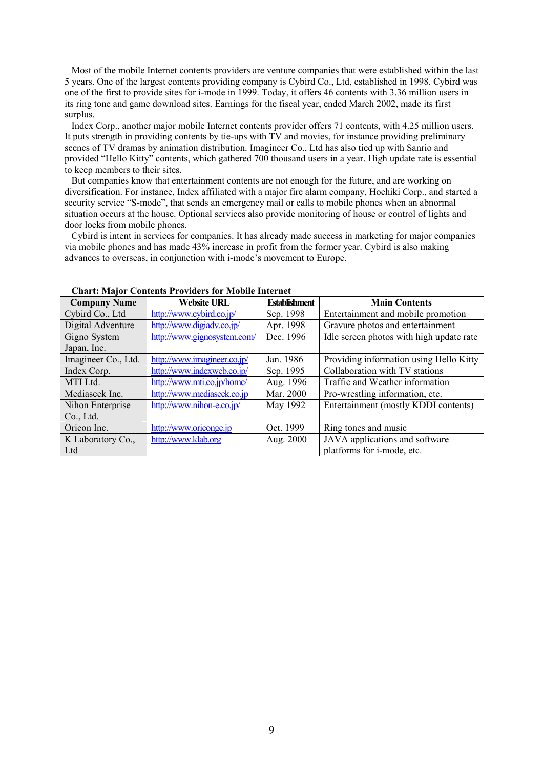Most of the mobile Internet contents providers are venture companies that were established within the last 5 years. One of the largest contents providing company is Cybird Co., Ltd, established in 1998. Cybird was one of the first to provide sites for i-mode in 1999. Today, it offers 46 contents with 3.36 million users in its ring tone and game download sites. Earnings for the fiscal year, ended March 2002, made its first surplus.

Index Corp., another major mobile Internet contents provider offers 71 contents, with 4.25 million users. It puts strength in providing contents by tie-ups with TV and movies, for instance providing preliminary scenes of TV dramas by animation distribution. Imagineer Co., Ltd has also tied up with Sanrio and provided "Hello Kitty" contents, which gathered 700 thousand users in a year. High update rate is essential to keep members to their sites.

But companies know that entertainment contents are not enough for the future, and are working on diversification. For instance, Index affiliated with a major fire alarm company, Hochiki Corp., and started a security service "S-mode", that sends an emergency mail or calls to mobile phones when an abnormal situation occurs at the house. Optional services also provide monitoring of house or control of lights and door locks from mobile phones.

Cybird is intent in services for companies. It has already made success in marketing for major companies via mobile phones and has made 43% increase in profit from the former year. Cybird is also making advances to overseas, in conjunction with i-mode's movement to Europe.

| <b>Company Name</b> | <b>Website URL</b>          | <b>Establishment</b> | <b>Main Contents</b>                     |
|---------------------|-----------------------------|----------------------|------------------------------------------|
| Cybird Co., Ltd     | http://www.cybird.co.jp/    | Sep. 1998            | Entertainment and mobile promotion       |
| Digital Adventure   | http://www.digiadv.co.jp/   | Apr. 1998            | Gravure photos and entertainment         |
| Gigno System        | http://www.gignosystem.com/ | Dec. 1996            | Idle screen photos with high update rate |
| Japan, Inc.         |                             |                      |                                          |
| Imagineer Co., Ltd. | http://www.imagineer.co.jp/ | Jan. 1986            | Providing information using Hello Kitty  |
| Index Corp.         | http://www.indexweb.co.jp/  | Sep. 1995            | Collaboration with TV stations           |
| MTI Ltd.            | http://www.mti.co.jp/home/  | Aug. 1996            | Traffic and Weather information          |
| Mediaseek Inc.      | http://www.mediaseek.co.jp  | Mar. 2000            | Pro-wrestling information, etc.          |
| Nihon Enterprise    | http://www.nihon-e.co.jp/   | May 1992             | Entertainment (mostly KDDI contents)     |
| Co., Ltd.           |                             |                      |                                          |
| Oricon Inc.         | http://www.oriconge.jp      | Oct. 1999            | Ring tones and music                     |
| K Laboratory Co.,   | http://www.klab.org         | Aug. 2000            | JAVA applications and software           |
| Ltd                 |                             |                      | platforms for i-mode, etc.               |

### **Chart: Major Contents Providers for Mobile Internet**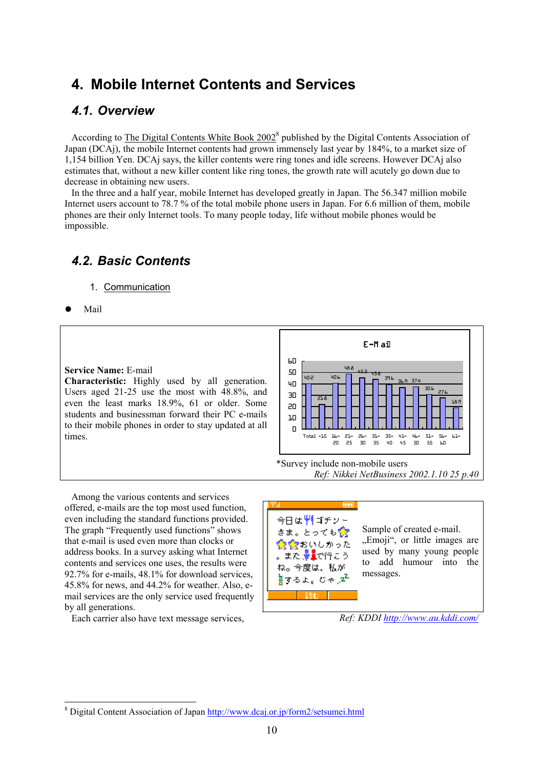### **4. Mobile Internet Contents and Services**

### *4.1. Overview*

According to The Digital Contents White Book 2002<sup>8</sup> published by the Digital Contents Association of Japan (DCAj), the mobile Internet contents had grown immensely last year by 184%, to a market size of 1,154 billion Yen. DCAj says, the killer contents were ring tones and idle screens. However DCAj also estimates that, without a new killer content like ring tones, the growth rate will acutely go down due to decrease in obtaining new users.

In the three and a half year, mobile Internet has developed greatly in Japan. The 56.347 million mobile Internet users account to 78.7 % of the total mobile phone users in Japan. For 6.6 million of them, mobile phones are their only Internet tools. To many people today, life without mobile phones would be impossible.

### *4.2. Basic Contents*

- 1. Communication
- Mail

1

#### **Service Name:** E-mail

**Characteristic:** Highly used by all generation. Users aged 21-25 use the most with 48.8%, and even the least marks 18.9%, 61 or older. Some students and businessman forward their PC e-mails to their mobile phones in order to stay updated at all times.



\*Survey include non-mobile users *Ref: Nikkei NetBusiness 2002.1.10 25 p.40*

Among the various contents and services offered, e-mails are the top most used function, even including the standard functions provided. The graph "Frequently used functions" shows that e-mail is used even more than clocks or address books. In a survey asking what Internet contents and services one uses, the results were 92.7% for e-mails, 48.1% for download services, 45.8% for news, and 44.2% for weather. Also, email services are the only service used frequently by all generations.

Each carrier also have text message services,



*Ref: KDDI http://www.au.kddi.com/*

<sup>&</sup>lt;sup>8</sup> Digital Content Association of Japan http://www.dcaj.or.jp/form2/setsumei.html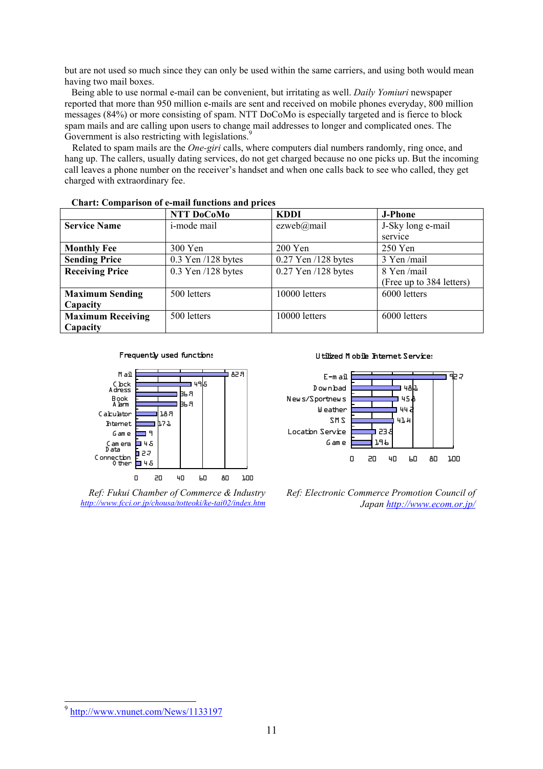but are not used so much since they can only be used within the same carriers, and using both would mean having two mail boxes.

Being able to use normal e-mail can be convenient, but irritating as well. *Daily Yomiuri* newspaper reported that more than 950 million e-mails are sent and received on mobile phones everyday, 800 million messages (84%) or more consisting of spam. NTT DoCoMo is especially targeted and is fierce to block spam mails and are calling upon users to change mail addresses to longer and complicated ones. The Government is also restricting with legislations.<sup>9</sup>

Related to spam mails are the *One-giri* calls, where computers dial numbers randomly, ring once, and hang up. The callers, usually dating services, do not get charged because no one picks up. But the incoming call leaves a phone number on the receiver's handset and when one calls back to see who called, they get charged with extraordinary fee.

|                          | NTT DoCoMo             | <b>KDDI</b>             | <b>J-Phone</b>           |
|--------------------------|------------------------|-------------------------|--------------------------|
| <b>Service Name</b>      | <i>i</i> -mode mail    | ezweb@mail              | J-Sky long e-mail        |
|                          |                        |                         | service                  |
| <b>Monthly Fee</b>       | 300 Yen                | 200 Yen                 | $250$ Yen                |
| <b>Sending Price</b>     | $0.3$ Yen $/128$ bytes | $0.27$ Yen $/128$ bytes | 3 Yen/mail               |
| <b>Receiving Price</b>   | $0.3$ Yen $/128$ bytes | $0.27$ Yen $/128$ bytes | 8 Yen/mail               |
|                          |                        |                         | (Free up to 384 letters) |
| <b>Maximum Sending</b>   | 500 letters            | 10000 letters           | 6000 letters             |
| Capacity                 |                        |                         |                          |
| <b>Maximum Receiving</b> | 500 letters            | 10000 letters           | 6000 letters             |
| Capacity                 |                        |                         |                          |

**Chart: Comparison of e-mail functions and prices** 





*Ref: Fukui Chamber of Commerce & Industry http://www.fcci.or.jp/chousa/totteoki/ke-tai02/index.htm*

#### Utilized Mobile Internet Services



*Ref: Electronic Commerce Promotion Council of Japan http://www.ecom.or.jp/*

<sup>&</sup>lt;sup>9</sup> http://www.vnunet.com/News/1133197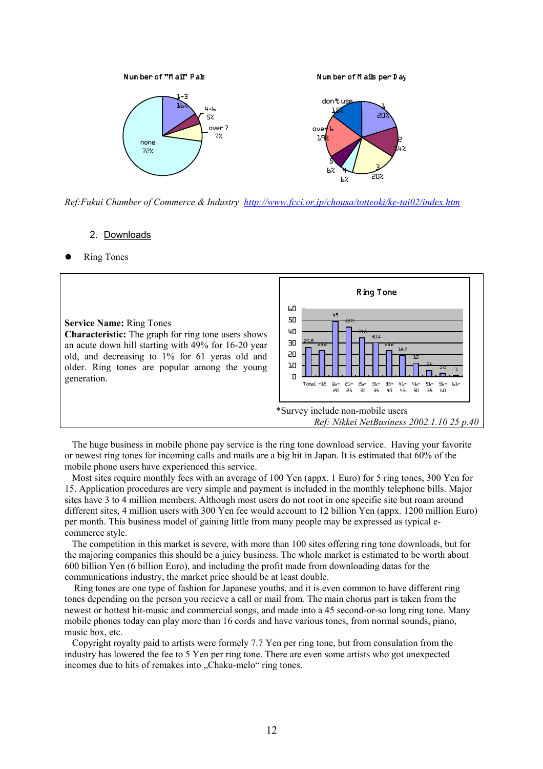

*Ref:Fukui Chamber of Commerce & Industry http://www.fcci.or.jp/chousa/totteoki/ke-tai02/index.htm*

### 2. Downloads

**Ring Tones** 



The huge business in mobile phone pay service is the ring tone download service. Having your favorite or newest ring tones for incoming calls and mails are a big hit in Japan. It is estimated that 60% of the mobile phone users have experienced this service.

Most sites require monthly fees with an average of 100 Yen (appx. 1 Euro) for 5 ring tones, 300 Yen for 15. Application procedures are very simple and payment is included in the monthly telephone bills. Major sites have 3 to 4 million members. Although most users do not root in one specific site but roam around different sites, 4 million users with 300 Yen fee would account to 12 billion Yen (appx. 1200 million Euro) per month. This business model of gaining little from many people may be expressed as typical ecommerce style.

The competition in this market is severe, with more than 100 sites offering ring tone downloads, but for the majoring companies this should be a juicy business. The whole market is estimated to be worth about 600 billion Yen (6 billion Euro), and including the profit made from downloading datas for the communications industry, the market price should be at least double.

Ring tones are one type of fashion for Japanese youths, and it is even common to have different ring tones depending on the person you recieve a call or mail from. The main chorus part is taken from the newest or hottest hit-music and commercial songs, and made into a 45 second-or-so long ring tone. Many mobile phones today can play more than 16 cords and have various tones, from normal sounds, piano, music box, etc.

Copyright royalty paid to artists were formely 7.7 Yen per ring tone, but from consulation from the industry has lowered the fee to 5 Yen per ring tone. There are even some artists who got unexpected incomes due to hits of remakes into "Chaku-melo" ring tones.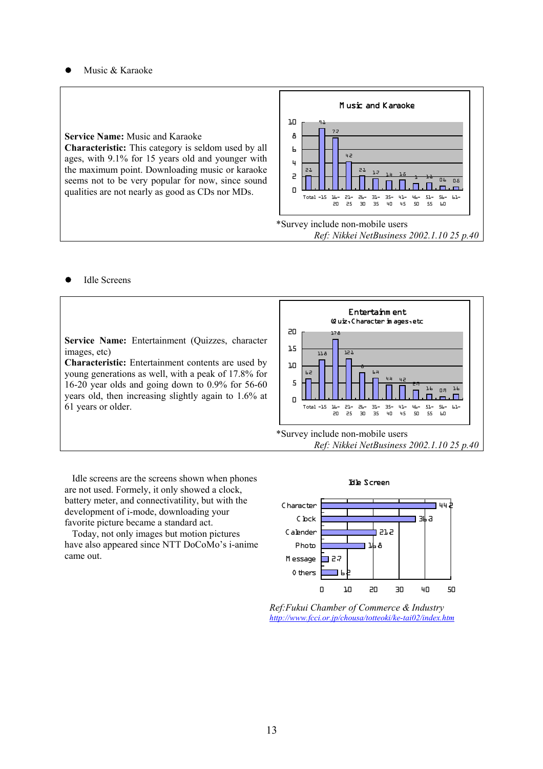Music & Karaoke

**Service Name:** Music and Karaoke **Characteristic:** This category is seldom used by all ages, with 9.1% for 15 years old and younger with the maximum point. Downloading music or karaoke

seems not to be very popular for now, since sound qualities are not nearly as good as CDs nor MDs.



**Idle Screens** 

**Service Name:** Entertainment (Quizzes, character images, etc)

**Characteristic:** Entertainment contents are used by young generations as well, with a peak of 17.8% for 16-20 year olds and going down to 0.9% for 56-60 years old, then increasing slightly again to 1.6% at 61 years or older.





Idle screens are the screens shown when phones are not used. Formely, it only showed a clock, battery meter, and connectivatility, but with the development of i-mode, downloading your favorite picture became a standard act.

Today, not only images but motion pictures have also appeared since NTT DoCoMo's i-anime came out.





*Ref:Fukui Chamber of Commerce & Industry http://www.fcci.or.jp/chousa/totteoki/ke-tai02/index.htm*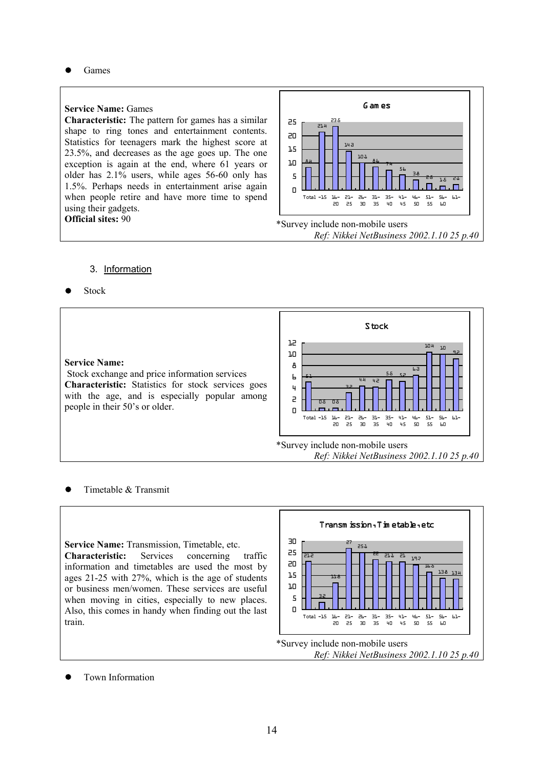Games

#### **Service Name:** Games

**Characteristic:** The pattern for games has a similar shape to ring tones and entertainment contents. Statistics for teenagers mark the highest score at 23.5%, and decreases as the age goes up. The one exception is again at the end, where 61 years or older has 2.1% users, while ages 56-60 only has 1.5%. Perhaps needs in entertainment arise again when people retire and have more time to spend using their gadgets. **Official sites:** 90



#### 3. Information

**Stock** 



### Timetable & Transmit

**Service Name:** Transmission, Timetable, etc. **Characteristic:** Services concerning traffic information and timetables are used the most by ages 21-25 with 27%, which is the age of students or business men/women. These services are useful when moving in cities, especially to new places. Also, this comes in handy when finding out the last train.



Town Information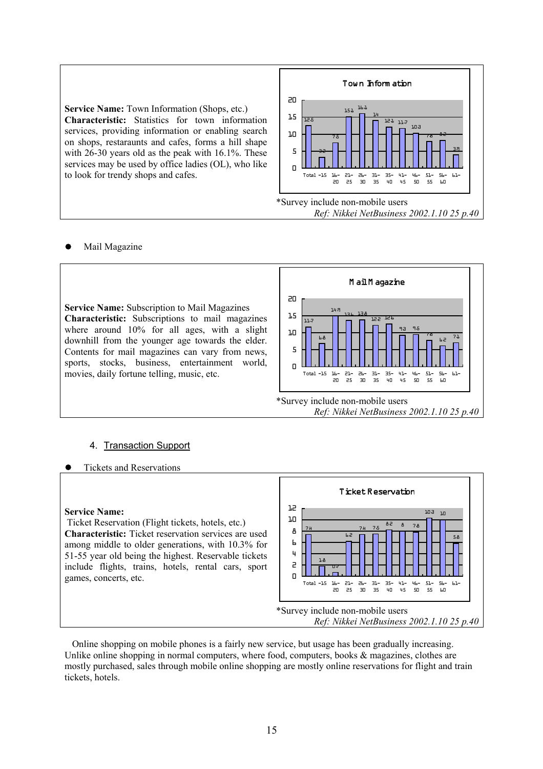**Service Name:** Town Information (Shops, etc.) **Characteristic:** Statistics for town information services, providing information or enabling search on shops, restaraunts and cafes, forms a hill shape with 26-30 years old as the peak with 16.1%. These services may be used by office ladies (OL), who like to look for trendy shops and cafes.



### Mail Magazine

**Service Name:** Subscription to Mail Magazines **Characteristic:** Subscriptions to mail magazines where around 10% for all ages, with a slight downhill from the younger age towards the elder. Contents for mail magazines can vary from news, sports, stocks, business, entertainment world, movies, daily fortune telling, music, etc.



*Ref: Nikkei NetBusiness 2002.1.10 25 p.40*

### 4. Transaction Support

• Tickets and Reservations

#### **Service Name:**

Ticket Reservation (Flight tickets, hotels, etc.) **Characteristic:** Ticket reservation services are used among middle to older generations, with 10.3% for 51-55 year old being the highest. Reservable tickets include flights, trains, hotels, rental cars, sport games, concerts, etc.



Online shopping on mobile phones is a fairly new service, but usage has been gradually increasing. Unlike online shopping in normal computers, where food, computers, books  $\&$  magazines, clothes are mostly purchased, sales through mobile online shopping are mostly online reservations for flight and train tickets, hotels.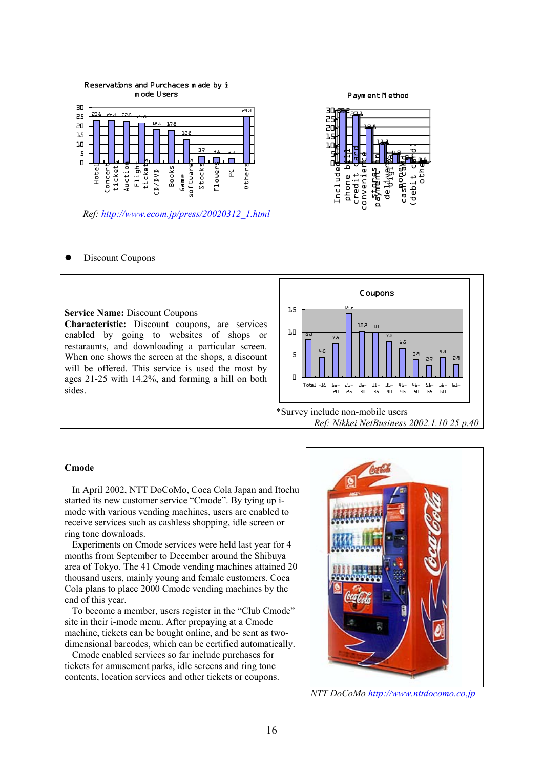

*Ref: http://www.ecom.jp/press/20020312\_1.html*

#### Paym ent M ethod



Discount Coupons

#### **Service Name:** Discount Coupons

**Characteristic:** Discount coupons, are services enabled by going to websites of shops or restaraunts, and downloading a particular screen. When one shows the screen at the shops, a discount will be offered. This service is used the most by ages 21-25 with 14.2%, and forming a hill on both sides.



*Ref: Nikkei NetBusiness 2002.1.10 25 p.40*

#### **Cmode**

In April 2002, NTT DoCoMo, Coca Cola Japan and Itochu started its new customer service "Cmode". By tying up imode with various vending machines, users are enabled to receive services such as cashless shopping, idle screen or ring tone downloads.

Experiments on Cmode services were held last year for 4 months from September to December around the Shibuya area of Tokyo. The 41 Cmode vending machines attained 20 thousand users, mainly young and female customers. Coca Cola plans to place 2000 Cmode vending machines by the end of this year.

To become a member, users register in the "Club Cmode" site in their i-mode menu. After prepaying at a Cmode machine, tickets can be bought online, and be sent as twodimensional barcodes, which can be certified automatically.

Cmode enabled services so far include purchases for tickets for amusement parks, idle screens and ring tone contents, location services and other tickets or coupons.



*NTT DoCoMo http://www.nttdocomo.co.jp*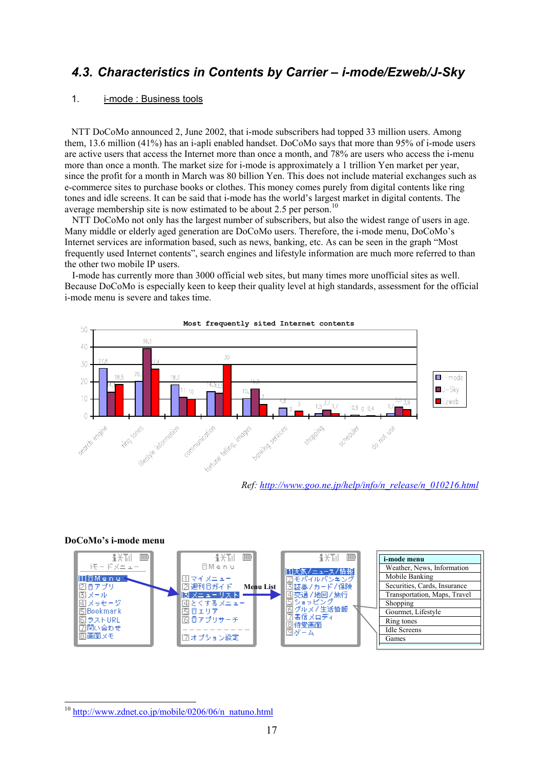### *4.3. Characteristics in Contents by Carrier – i-mode/Ezweb/J-Sky*

### 1. i-mode : Business tools

NTT DoCoMo announced 2, June 2002, that i-mode subscribers had topped 33 million users. Among them, 13.6 million (41%) has an i-apli enabled handset. DoCoMo says that more than 95% of i-mode users are active users that access the Internet more than once a month, and 78% are users who access the i-menu more than once a month. The market size for i-mode is approximately a 1 trillion Yen market per year, since the profit for a month in March was 80 billion Yen. This does not include material exchanges such as e-commerce sites to purchase books or clothes. This money comes purely from digital contents like ring tones and idle screens. It can be said that i-mode has the world's largest market in digital contents. The average membership site is now estimated to be about 2.5 per person.<sup>10</sup>

NTT DoCoMo not only has the largest number of subscribers, but also the widest range of users in age. Many middle or elderly aged generation are DoCoMo users. Therefore, the i-mode menu, DoCoMo's Internet services are information based, such as news, banking, etc. As can be seen in the graph "Most frequently used Internet contents", search engines and lifestyle information are much more referred to than the other two mobile IP users.

I-mode has currently more than 3000 official web sites, but many times more unofficial sites as well. Because DoCoMo is especially keen to keep their quality level at high standards, assessment for the official i-mode menu is severe and takes time.



#### **DoCoMo's i-mode menu**



<sup>&</sup>lt;sup>10</sup> http://www.zdnet.co.jp/mobile/0206/06/n\_natuno.html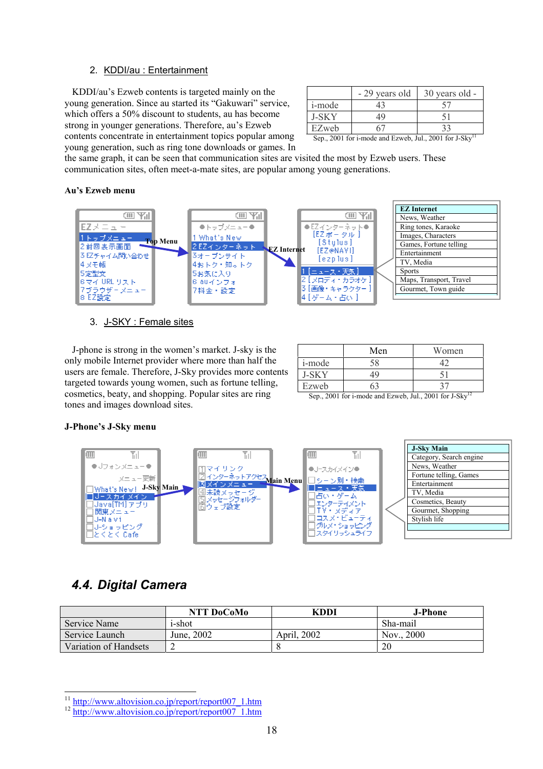### 2. KDDI/au : Entertainment

KDDI/au's Ezweb contents is targeted mainly on the young generation. Since au started its "Gakuwari" service, which offers a 50% discount to students, au has become strong in younger generations. Therefore, au's Ezweb contents concentrate in entertainment topics popular among young generation, such as ring tone downloads or games. In

| <i>i</i> -mode |  |
|----------------|--|
| L-SK Y         |  |
| EZweb          |  |

Sep., 2001 for i-mode and Ezweb, Jul., 2001 for J-Sky

the same graph, it can be seen that communication sites are visited the most by Ezweb users. These communication sites, often meet-a-mate sites, are popular among young generations.

#### **Au's Ezweb menu**



### 3. J-SKY : Female sites

J-phone is strong in the women's market. J-sky is the only mobile Internet provider where more than half the users are female. Therefore, J-Sky provides more contents targeted towards young women, such as fortune telling, cosmetics, beaty, and shopping. Popular sites are ring tones and images download sites.

|                | Men | Women |
|----------------|-----|-------|
| <i>i</i> -mode |     |       |
| LSK Y          | 1C  |       |
| Ezweb          |     |       |

Sep., 2001 for i-mode and Ezweb, Jul., 2001 for J-Sky<sup>12</sup>

### **J-Phone's J-Sky menu**



### *4.4. Digital Camera*

|                       | NTT DoCoMo | KDDI        | J-Phone    |
|-----------------------|------------|-------------|------------|
| Service Name          | i-shot     |             | Sha-mail   |
| Service Launch        | June, 2002 | April, 2002 | Nov., 2000 |
| Variation of Handsets |            |             | 20         |

<sup>&</sup>lt;sup>11</sup> http://www.altovision.co.jp/report/report007\_1.htm 12 http://www.altovision.co.jp/report/report007\_1.htm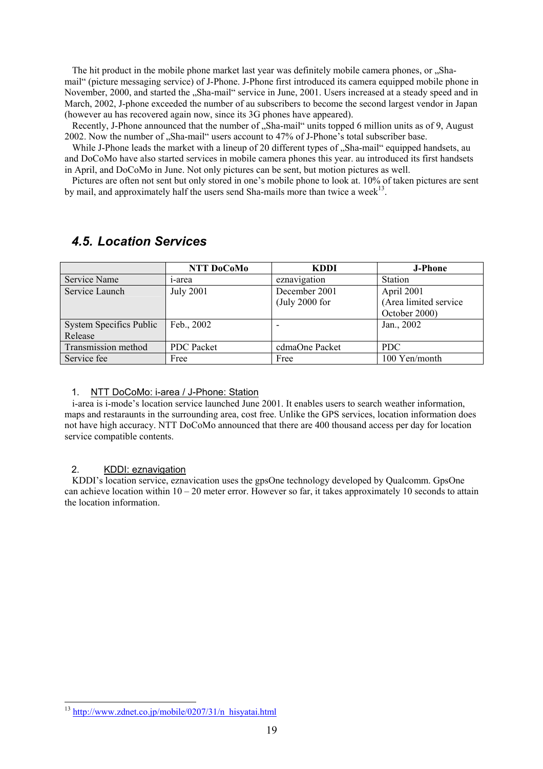The hit product in the mobile phone market last year was definitely mobile camera phones, or "Shamail" (picture messaging service) of J-Phone. J-Phone first introduced its camera equipped mobile phone in November, 2000, and started the "Sha-mail" service in June, 2001. Users increased at a steady speed and in March, 2002, J-phone exceeded the number of au subscribers to become the second largest vendor in Japan (however au has recovered again now, since its 3G phones have appeared).

Recently, J-Phone announced that the number of "Sha-mail" units topped 6 million units as of 9. August 2002. Now the number of "Sha-mail" users account to 47% of J-Phone's total subscriber base.

While J-Phone leads the market with a lineup of 20 different types of "Sha-mail" equipped handsets, au and DoCoMo have also started services in mobile camera phones this year. au introduced its first handsets in April, and DoCoMo in June. Not only pictures can be sent, but motion pictures as well.

Pictures are often not sent but only stored in one's mobile phone to look at. 10% of taken pictures are sent by mail, and approximately half the users send Sha-mails more than twice a week $^{13}$ .

|                         | NTT DoCoMo        | <b>KDDI</b>       | <b>J-Phone</b>        |
|-------------------------|-------------------|-------------------|-----------------------|
| Service Name            | 1-area            | eznavigation      | Station               |
| Service Launch          | <b>July 2001</b>  | December 2001     | April 2001            |
|                         |                   | $($ July 2000 for | (Area limited service |
|                         |                   |                   | October 2000)         |
| System Specifics Public | Feb., 2002        | -                 | Jan., 2002            |
| Release                 |                   |                   |                       |
| Transmission method     | <b>PDC</b> Packet | cdmaOne Packet    | <b>PDC</b>            |
| Service fee             | Free              | Free              | 100 Yen/month         |

### *4.5. Location Services*

### 1. NTT DoCoMo: i-area / J-Phone: Station

i-area is i-mode's location service launched June 2001. It enables users to search weather information, maps and restaraunts in the surrounding area, cost free. Unlike the GPS services, location information does not have high accuracy. NTT DoCoMo announced that there are 400 thousand access per day for location service compatible contents.

### 2. KDDI: eznavigation

KDDI's location service, eznavication uses the gpsOne technology developed by Qualcomm. GpsOne can achieve location within  $10 - 20$  meter error. However so far, it takes approximately 10 seconds to attain the location information.

 $\overline{a}$ <sup>13</sup> http://www.zdnet.co.jp/mobile/0207/31/n\_hisyatai.html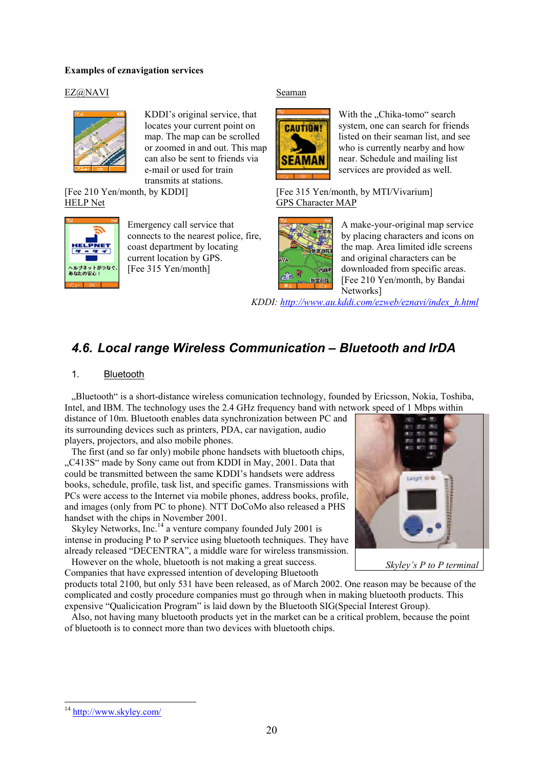### **Examples of eznavigation services**

### EZ@NAVI



KDDI's original service, that locates your current point on map. The map can be scrolled or zoomed in and out. This map can also be sent to friends via e-mail or used for train transmits at stations.

[Fee 210 Yen/month, by KDDI] HELP Net



Emergency call service that connects to the nearest police, fire, coast department by locating current location by GPS. [Fee 315 Yen/month]

#### Seaman



With the "Chika-tomo" search system, one can search for friends listed on their seaman list, and see who is currently nearby and how near. Schedule and mailing list services are provided as well.

[Fee 315 Yen/month, by MTI/Vivarium] GPS Character MAP



A make-your-original map service by placing characters and icons on the map. Area limited idle screens and original characters can be downloaded from specific areas. [Fee 210 Yen/month, by Bandai] Networks]

*KDDI: http://www.au.kddi.com/ezweb/eznavi/index\_h.html*

### *4.6. Local range Wireless Communication – Bluetooth and IrDA*

### 1. Bluetooth

"Bluetooth" is a short-distance wireless comunication technology, founded by Ericsson, Nokia, Toshiba, Intel, and IBM. The technology uses the 2.4 GHz frequency band with network speed of 1 Mbps within

distance of 10m. Bluetooth enables data synchronization between PC and its surrounding devices such as printers, PDA, car navigation, audio players, projectors, and also mobile phones.

The first (and so far only) mobile phone handsets with bluetooth chips, ..C413S" made by Sony came out from KDDI in May, 2001. Data that could be transmitted between the same KDDI's handsets were address books, schedule, profile, task list, and specific games. Transmissions with PCs were access to the Internet via mobile phones, address books, profile, and images (only from PC to phone). NTT DoCoMo also released a PHS handset with the chips in November 2001.

Skyley Networks, Inc.<sup>14</sup> a venture company founded July 2001 is intense in producing P to P service using bluetooth techniques. They have already released "DECENTRA", a middle ware for wireless transmission.

However on the whole, bluetooth is not making a great success. Companies that have expressed intention of developing Bluetooth



products total 2100, but only 531 have been released, as of March 2002. One reason may be because of the complicated and costly procedure companies must go through when in making bluetooth products. This expensive "Qualicication Program" is laid down by the Bluetooth SIG(Special Interest Group).

Also, not having many bluetooth products yet in the market can be a critical problem, because the point of bluetooth is to connect more than two devices with bluetooth chips.

-

<sup>&</sup>lt;sup>14</sup> http://www.skyley.com/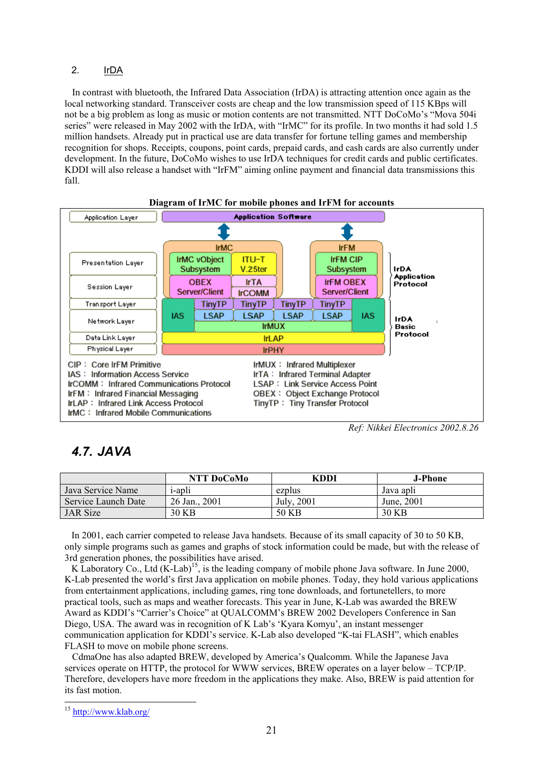### 2. IrDA

In contrast with bluetooth, the Infrared Data Association (IrDA) is attracting attention once again as the local networking standard. Transceiver costs are cheap and the low transmission speed of 115 KBps will not be a big problem as long as music or motion contents are not transmitted. NTT DoCoMo's "Mova 504i series" were released in May 2002 with the IrDA, with "IrMC" for its profile. In two months it had sold 1.5 million handsets. Already put in practical use are data transfer for fortune telling games and membership recognition for shops. Receipts, coupons, point cards, prepaid cards, and cash cards are also currently under development. In the future, DoCoMo wishes to use IrDA techniques for credit cards and public certificates. KDDI will also release a handset with "IrFM" aiming online payment and financial data transmissions this fall.



#### **Diagram of IrMC for mobile phones and IrFM for accounts**

### *4.7. JAVA*

|                     | NTT DoCoMo     | KDDI       | J-Phone    |
|---------------------|----------------|------------|------------|
| Java Service Name   | <i>i</i> -apli | ezplus     | Java aplı  |
| Service Launch Date | 26 Jan., 2001  | July, 2001 | June, 2001 |
| <b>JAR</b> Size     | 30 KB          | 50 KB      | 30 KB      |

In 2001, each carrier competed to release Java handsets. Because of its small capacity of 30 to 50 KB, only simple programs such as games and graphs of stock information could be made, but with the release of 3rd generation phones, the possibilities have arised.

K Laboratory Co., Ltd (K-Lab)<sup>15</sup>, is the leading company of mobile phone Java software. In June 2000, K-Lab presented the world's first Java application on mobile phones. Today, they hold various applications from entertainment applications, including games, ring tone downloads, and fortunetellers, to more practical tools, such as maps and weather forecasts. This year in June, K-Lab was awarded the BREW Award as KDDI's "Carrier's Choice" at QUALCOMM's BREW 2002 Developers Conference in San Diego, USA. The award was in recognition of K Lab's 'Kyara Komyu', an instant messenger communication application for KDDI's service. K-Lab also developed "K-tai FLASH", which enables FLASH to move on mobile phone screens.

CdmaOne has also adapted BREW, developed by America's Qualcomm. While the Japanese Java services operate on HTTP, the protocol for WWW services, BREW operates on a layer below – TCP/IP. Therefore, developers have more freedom in the applications they make. Also, BREW is paid attention for its fast motion.

*Ref: Nikkei Electronics 2002.8.26*

<sup>&</sup>lt;sup>15</sup> http://www.klab.org/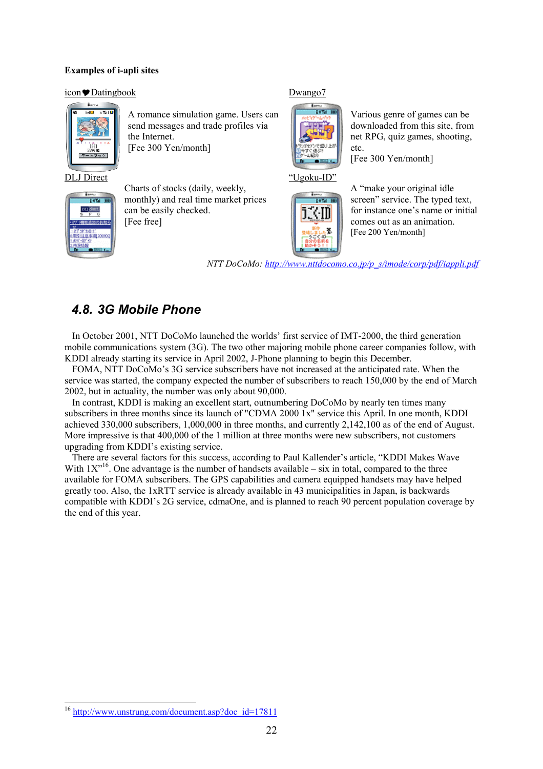### **Examples of i-apli sites**

#### icon Datingbook



A romance simulation game. Users can send messages and trade profiles via the Internet. [Fee 300 Yen/month]

DLJ Direct



Charts of stocks (daily, weekly, monthly) and real time market prices can be easily checked. [Fee free]

### Dwango7



Various genre of games can be downloaded from this site, from net RPG, quiz games, shooting, etc.

[Fee 300 Yen/month]





A "make your original idle screen" service. The typed text, for instance one's name or initial comes out as an animation. [Fee 200 Yen/month]

*NTT DoCoMo: http://www.nttdocomo.co.jp/p\_s/imode/corp/pdf/iappli.pdf*

### *4.8. 3G Mobile Phone*

In October 2001, NTT DoCoMo launched the worlds' first service of IMT-2000, the third generation mobile communications system (3G). The two other majoring mobile phone career companies follow, with KDDI already starting its service in April 2002, J-Phone planning to begin this December.

FOMA, NTT DoCoMo's 3G service subscribers have not increased at the anticipated rate. When the service was started, the company expected the number of subscribers to reach 150,000 by the end of March 2002, but in actuality, the number was only about 90,000.

In contrast, KDDI is making an excellent start, outnumbering DoCoMo by nearly ten times many subscribers in three months since its launch of "CDMA 2000 1x" service this April. In one month, KDDI achieved 330,000 subscribers, 1,000,000 in three months, and currently 2,142,100 as of the end of August. More impressive is that 400,000 of the 1 million at three months were new subscribers, not customers upgrading from KDDI's existing service.

There are several factors for this success, according to Paul Kallender's article, "KDDI Makes Wave With  $1X^{\prime16}$ . One advantage is the number of handsets available – six in total, compared to the three available for FOMA subscribers. The GPS capabilities and camera equipped handsets may have helped greatly too. Also, the 1xRTT service is already available in 43 municipalities in Japan, is backwards compatible with KDDI's 2G service, cdmaOne, and is planned to reach 90 percent population coverage by the end of this year.

<sup>&</sup>lt;sup>16</sup> http://www.unstrung.com/document.asp?doc\_id=17811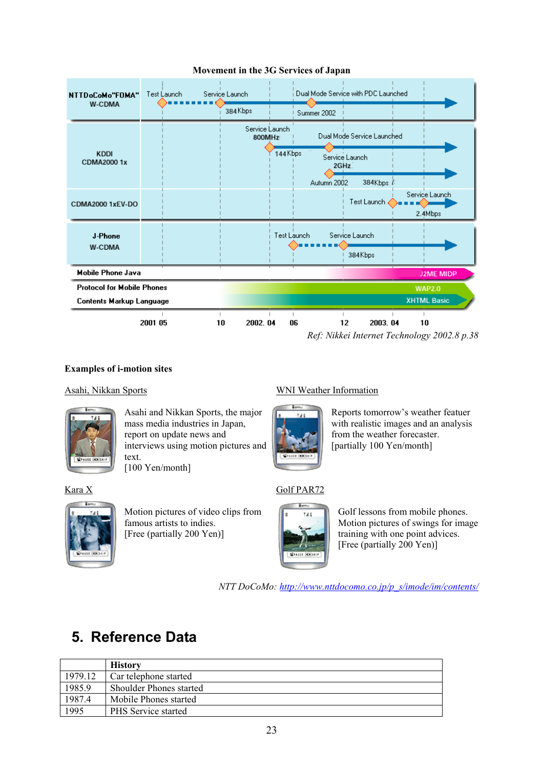

### **Movement in the 3G Services of Japan**

### **Examples of i-motion sites**

### Asahi, Nikkan Sports



Asahi and Nikkan Sports, the major mass media industries in Japan, report on update news and interviews using motion pictures and text. [100 Yen/month]

Kara X



Motion pictures of video clips from famous artists to indies. [Free (partially 200 Yen)]

### WNI Weather Information



Reports tomorrow's weather featuer with realistic images and an analysis from the weather forecaster. [partially 100 Yen/month]

### Golf PAR72



Golf lessons from mobile phones. Motion pictures of swings for image training with one point advices. [Free (partially 200 Yen)]

*NTT DoCoMo: http://www.nttdocomo.co.jp/p\_s/imode/im/contents/*

## **5. Reference Data**

|         | <b>History</b>                 |
|---------|--------------------------------|
| 1979.12 | Car telephone started          |
| 1985.9  | <b>Shoulder Phones started</b> |
| 1987.4  | Mobile Phones started          |
| 1995    | PHS Service started            |